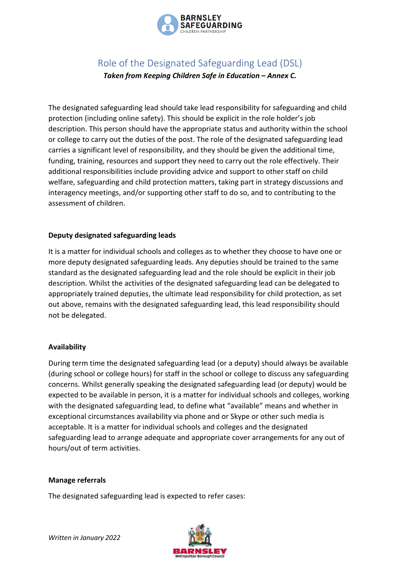

# Role of the Designated Safeguarding Lead (DSL) *Taken from Keeping Children Safe in Education – Annex C.*

The designated safeguarding lead should take lead responsibility for safeguarding and child protection (including online safety). This should be explicit in the role holder's job description. This person should have the appropriate status and authority within the school or college to carry out the duties of the post. The role of the designated safeguarding lead carries a significant level of responsibility, and they should be given the additional time, funding, training, resources and support they need to carry out the role effectively. Their additional responsibilities include providing advice and support to other staff on child welfare, safeguarding and child protection matters, taking part in strategy discussions and interagency meetings, and/or supporting other staff to do so, and to contributing to the assessment of children.

# **Deputy designated safeguarding leads**

It is a matter for individual schools and colleges as to whether they choose to have one or more deputy designated safeguarding leads. Any deputies should be trained to the same standard as the designated safeguarding lead and the role should be explicit in their job description. Whilst the activities of the designated safeguarding lead can be delegated to appropriately trained deputies, the ultimate lead responsibility for child protection, as set out above, remains with the designated safeguarding lead, this lead responsibility should not be delegated.

#### **Availability**

During term time the designated safeguarding lead (or a deputy) should always be available (during school or college hours) for staff in the school or college to discuss any safeguarding concerns. Whilst generally speaking the designated safeguarding lead (or deputy) would be expected to be available in person, it is a matter for individual schools and colleges, working with the designated safeguarding lead, to define what "available" means and whether in exceptional circumstances availability via phone and or Skype or other such media is acceptable. It is a matter for individual schools and colleges and the designated safeguarding lead to arrange adequate and appropriate cover arrangements for any out of hours/out of term activities.

#### **Manage referrals**

The designated safeguarding lead is expected to refer cases:

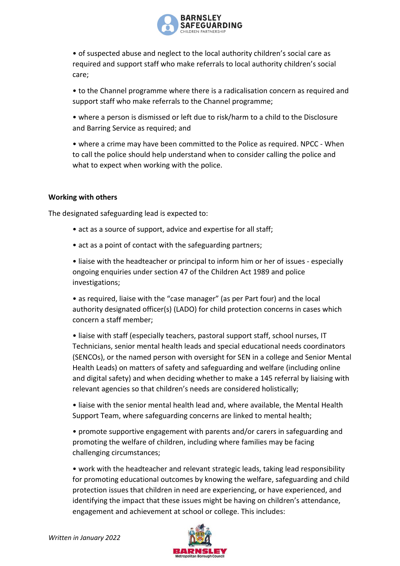

• of suspected abuse and neglect to the local authority children's social care as required and support staff who make referrals to local authority children's social care;

• to the Channel programme where there is a radicalisation concern as required and support staff who make referrals to the Channel programme;

• where a person is dismissed or left due to risk/harm to a child to the Disclosure and Barring Service as required; and

• where a crime may have been committed to the Police as required. NPCC - When to call the police should help understand when to consider calling the police and what to expect when working with the police.

# **Working with others**

The designated safeguarding lead is expected to:

- act as a source of support, advice and expertise for all staff;
- act as a point of contact with the safeguarding partners;

• liaise with the headteacher or principal to inform him or her of issues - especially ongoing enquiries under section 47 of the Children Act 1989 and police investigations;

• as required, liaise with the "case manager" (as per Part four) and the local authority designated officer(s) (LADO) for child protection concerns in cases which concern a staff member;

• liaise with staff (especially teachers, pastoral support staff, school nurses, IT Technicians, senior mental health leads and special educational needs coordinators (SENCOs), or the named person with oversight for SEN in a college and Senior Mental Health Leads) on matters of safety and safeguarding and welfare (including online and digital safety) and when deciding whether to make a 145 referral by liaising with relevant agencies so that children's needs are considered holistically;

• liaise with the senior mental health lead and, where available, the Mental Health Support Team, where safeguarding concerns are linked to mental health;

• promote supportive engagement with parents and/or carers in safeguarding and promoting the welfare of children, including where families may be facing challenging circumstances;

• work with the headteacher and relevant strategic leads, taking lead responsibility for promoting educational outcomes by knowing the welfare, safeguarding and child protection issues that children in need are experiencing, or have experienced, and identifying the impact that these issues might be having on children's attendance, engagement and achievement at school or college. This includes: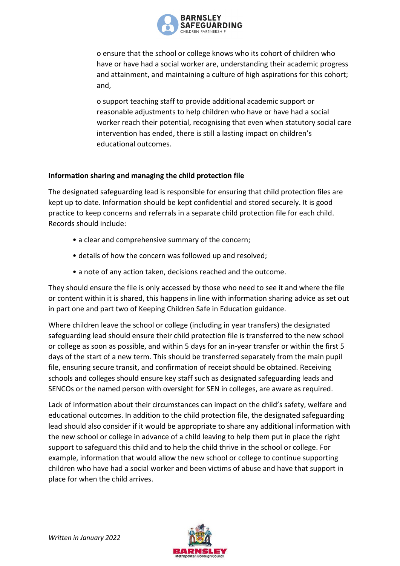

o ensure that the school or college knows who its cohort of children who have or have had a social worker are, understanding their academic progress and attainment, and maintaining a culture of high aspirations for this cohort; and,

o support teaching staff to provide additional academic support or reasonable adjustments to help children who have or have had a social worker reach their potential, recognising that even when statutory social care intervention has ended, there is still a lasting impact on children's educational outcomes.

# **Information sharing and managing the child protection file**

The designated safeguarding lead is responsible for ensuring that child protection files are kept up to date. Information should be kept confidential and stored securely. It is good practice to keep concerns and referrals in a separate child protection file for each child. Records should include:

- a clear and comprehensive summary of the concern;
- details of how the concern was followed up and resolved;
- a note of any action taken, decisions reached and the outcome.

They should ensure the file is only accessed by those who need to see it and where the file or content within it is shared, this happens in line with information sharing advice as set out in part one and part two of Keeping Children Safe in Education guidance.

Where children leave the school or college (including in year transfers) the designated safeguarding lead should ensure their child protection file is transferred to the new school or college as soon as possible, and within 5 days for an in-year transfer or within the first 5 days of the start of a new term. This should be transferred separately from the main pupil file, ensuring secure transit, and confirmation of receipt should be obtained. Receiving schools and colleges should ensure key staff such as designated safeguarding leads and SENCOs or the named person with oversight for SEN in colleges, are aware as required.

Lack of information about their circumstances can impact on the child's safety, welfare and educational outcomes. In addition to the child protection file, the designated safeguarding lead should also consider if it would be appropriate to share any additional information with the new school or college in advance of a child leaving to help them put in place the right support to safeguard this child and to help the child thrive in the school or college. For example, information that would allow the new school or college to continue supporting children who have had a social worker and been victims of abuse and have that support in place for when the child arrives.

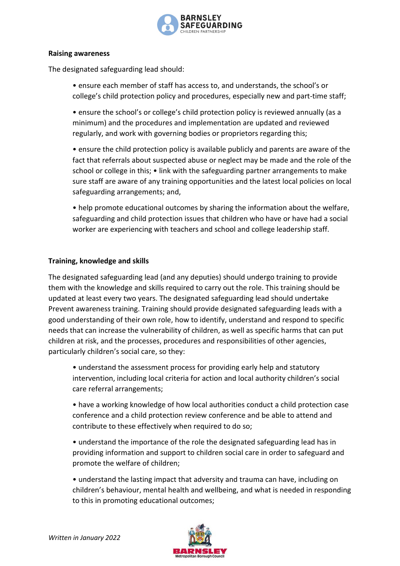

#### **Raising awareness**

The designated safeguarding lead should:

• ensure each member of staff has access to, and understands, the school's or college's child protection policy and procedures, especially new and part-time staff;

• ensure the school's or college's child protection policy is reviewed annually (as a minimum) and the procedures and implementation are updated and reviewed regularly, and work with governing bodies or proprietors regarding this;

• ensure the child protection policy is available publicly and parents are aware of the fact that referrals about suspected abuse or neglect may be made and the role of the school or college in this; • link with the safeguarding partner arrangements to make sure staff are aware of any training opportunities and the latest local policies on local safeguarding arrangements; and,

• help promote educational outcomes by sharing the information about the welfare, safeguarding and child protection issues that children who have or have had a social worker are experiencing with teachers and school and college leadership staff.

# **Training, knowledge and skills**

The designated safeguarding lead (and any deputies) should undergo training to provide them with the knowledge and skills required to carry out the role. This training should be updated at least every two years. The designated safeguarding lead should undertake Prevent awareness training. Training should provide designated safeguarding leads with a good understanding of their own role, how to identify, understand and respond to specific needs that can increase the vulnerability of children, as well as specific harms that can put children at risk, and the processes, procedures and responsibilities of other agencies, particularly children's social care, so they:

• understand the assessment process for providing early help and statutory intervention, including local criteria for action and local authority children's social care referral arrangements;

• have a working knowledge of how local authorities conduct a child protection case conference and a child protection review conference and be able to attend and contribute to these effectively when required to do so;

• understand the importance of the role the designated safeguarding lead has in providing information and support to children social care in order to safeguard and promote the welfare of children;

• understand the lasting impact that adversity and trauma can have, including on children's behaviour, mental health and wellbeing, and what is needed in responding to this in promoting educational outcomes;

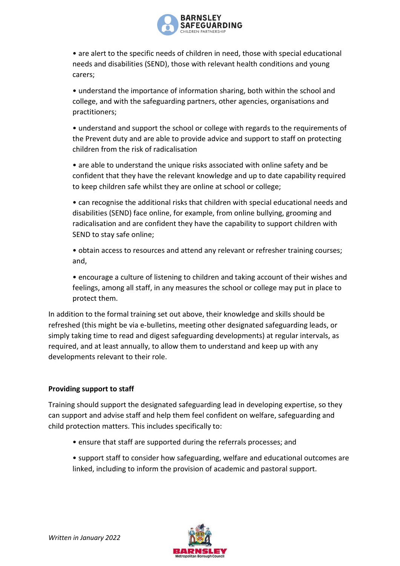

• are alert to the specific needs of children in need, those with special educational needs and disabilities (SEND), those with relevant health conditions and young carers;

• understand the importance of information sharing, both within the school and college, and with the safeguarding partners, other agencies, organisations and practitioners;

• understand and support the school or college with regards to the requirements of the Prevent duty and are able to provide advice and support to staff on protecting children from the risk of radicalisation

• are able to understand the unique risks associated with online safety and be confident that they have the relevant knowledge and up to date capability required to keep children safe whilst they are online at school or college;

• can recognise the additional risks that children with special educational needs and disabilities (SEND) face online, for example, from online bullying, grooming and radicalisation and are confident they have the capability to support children with SEND to stay safe online;

• obtain access to resources and attend any relevant or refresher training courses; and,

• encourage a culture of listening to children and taking account of their wishes and feelings, among all staff, in any measures the school or college may put in place to protect them.

In addition to the formal training set out above, their knowledge and skills should be refreshed (this might be via e-bulletins, meeting other designated safeguarding leads, or simply taking time to read and digest safeguarding developments) at regular intervals, as required, and at least annually, to allow them to understand and keep up with any developments relevant to their role.

# **Providing support to staff**

Training should support the designated safeguarding lead in developing expertise, so they can support and advise staff and help them feel confident on welfare, safeguarding and child protection matters. This includes specifically to:

- ensure that staff are supported during the referrals processes; and
- support staff to consider how safeguarding, welfare and educational outcomes are linked, including to inform the provision of academic and pastoral support.